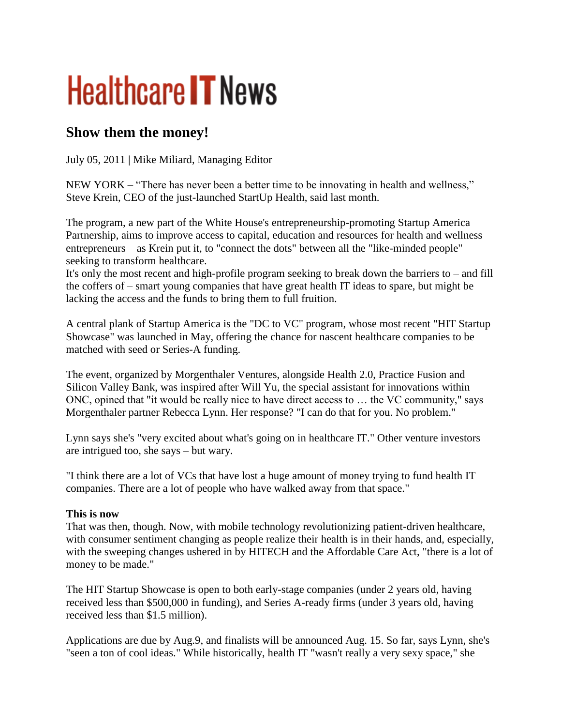# **Healthcare IT News**

## **Show them the money!**

July 05, 2011 | Mike Miliard, Managing Editor

NEW YORK – "There has never been a better time to be innovating in health and wellness," Steve Krein, CEO of the just-launched StartUp Health, said last month.

The program, a new part of the White House's entrepreneurship-promoting Startup America Partnership, aims to improve access to capital, education and resources for health and wellness entrepreneurs – as Krein put it, to "connect the dots" between all the "like-minded people" seeking to transform healthcare.

It's only the most recent and high-profile program seeking to break down the barriers to – and fill the coffers of – smart young companies that have great health IT ideas to spare, but might be lacking the access and the funds to bring them to full fruition.

A central plank of Startup America is the "DC to VC" program, whose most recent "HIT Startup Showcase" was launched in May, offering the chance for nascent healthcare companies to be matched with seed or Series-A funding.

The event, organized by Morgenthaler Ventures, alongside Health 2.0, Practice Fusion and Silicon Valley Bank, was inspired after Will Yu, the special assistant for innovations within ONC, opined that "it would be really nice to have direct access to … the VC community," says Morgenthaler partner Rebecca Lynn. Her response? "I can do that for you. No problem."

Lynn says she's "very excited about what's going on in healthcare IT." Other venture investors are intrigued too, she says – but wary.

"I think there are a lot of VCs that have lost a huge amount of money trying to fund health IT companies. There are a lot of people who have walked away from that space."

### **This is now**

That was then, though. Now, with mobile technology revolutionizing patient-driven healthcare, with consumer sentiment changing as people realize their health is in their hands, and, especially, with the sweeping changes ushered in by HITECH and the Affordable Care Act, "there is a lot of money to be made."

The HIT Startup Showcase is open to both early-stage companies (under 2 years old, having received less than \$500,000 in funding), and Series A-ready firms (under 3 years old, having received less than \$1.5 million).

Applications are due by Aug.9, and finalists will be announced Aug. 15. So far, says Lynn, she's "seen a ton of cool ideas." While historically, health IT "wasn't really a very sexy space," she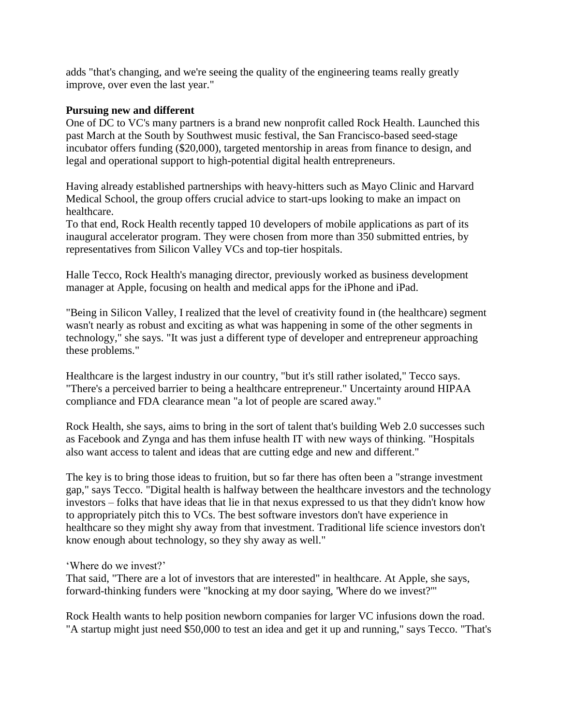adds "that's changing, and we're seeing the quality of the engineering teams really greatly improve, over even the last year."

#### **Pursuing new and different**

One of DC to VC's many partners is a brand new nonprofit called Rock Health. Launched this past March at the South by Southwest music festival, the San Francisco-based seed-stage incubator offers funding (\$20,000), targeted mentorship in areas from finance to design, and legal and operational support to high-potential digital health entrepreneurs.

Having already established partnerships with heavy-hitters such as Mayo Clinic and Harvard Medical School, the group offers crucial advice to start-ups looking to make an impact on healthcare.

To that end, Rock Health recently tapped 10 developers of mobile applications as part of its inaugural accelerator program. They were chosen from more than 350 submitted entries, by representatives from Silicon Valley VCs and top-tier hospitals.

Halle Tecco, Rock Health's managing director, previously worked as business development manager at Apple, focusing on health and medical apps for the iPhone and iPad.

"Being in Silicon Valley, I realized that the level of creativity found in (the healthcare) segment wasn't nearly as robust and exciting as what was happening in some of the other segments in technology," she says. "It was just a different type of developer and entrepreneur approaching these problems."

Healthcare is the largest industry in our country, "but it's still rather isolated," Tecco says. "There's a perceived barrier to being a healthcare entrepreneur." Uncertainty around HIPAA compliance and FDA clearance mean "a lot of people are scared away."

Rock Health, she says, aims to bring in the sort of talent that's building Web 2.0 successes such as Facebook and Zynga and has them infuse health IT with new ways of thinking. "Hospitals also want access to talent and ideas that are cutting edge and new and different."

The key is to bring those ideas to fruition, but so far there has often been a "strange investment gap," says Tecco. "Digital health is halfway between the healthcare investors and the technology investors – folks that have ideas that lie in that nexus expressed to us that they didn't know how to appropriately pitch this to VCs. The best software investors don't have experience in healthcare so they might shy away from that investment. Traditional life science investors don't know enough about technology, so they shy away as well."

"Where do we invest?"

That said, "There are a lot of investors that are interested" in healthcare. At Apple, she says, forward-thinking funders were "knocking at my door saying, 'Where do we invest?'"

Rock Health wants to help position newborn companies for larger VC infusions down the road. "A startup might just need \$50,000 to test an idea and get it up and running," says Tecco. "That's